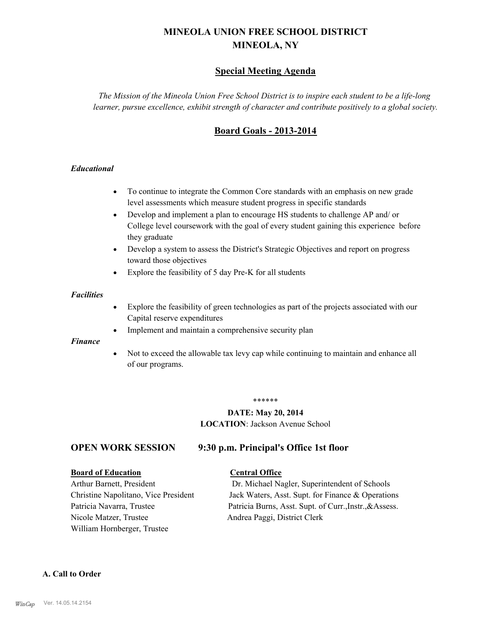# **MINEOLA UNION FREE SCHOOL DISTRICT MINEOLA, NY**

# **Special Meeting Agenda**

*The Mission of the Mineola Union Free School District is to inspire each student to be a life-long learner, pursue excellence, exhibit strength of character and contribute positively to a global society.*

# **Board Goals - 2013-2014**

#### *Educational*

- · To continue to integrate the Common Core standards with an emphasis on new grade level assessments which measure student progress in specific standards
- · Develop and implement a plan to encourage HS students to challenge AP and/ or College level coursework with the goal of every student gaining this experience before they graduate
- Develop a system to assess the District's Strategic Objectives and report on progress toward those objectives
- · Explore the feasibility of 5 day Pre-K for all students

#### *Facilities*

- · Explore the feasibility of green technologies as part of the projects associated with our Capital reserve expenditures
- Implement and maintain a comprehensive security plan

#### *Finance*

• Not to exceed the allowable tax levy cap while continuing to maintain and enhance all of our programs.

#### \*\*\*\*\*\*

# **DATE: May 20, 2014**

**LOCATION**: Jackson Avenue School

#### **OPEN WORK SESSION 9:30 p.m. Principal's Office 1st floor**

# **Board of Education Central Office**

Nicole Matzer, Trustee Andrea Paggi, District Clerk William Hornberger, Trustee

Arthur Barnett, President Dr. Michael Nagler, Superintendent of Schools Christine Napolitano, Vice President Jack Waters, Asst. Supt. for Finance & Operations Patricia Navarra, Trustee Patricia Burns, Asst. Supt. of Curr., Instr., & Assess.

#### **A. Call to Order**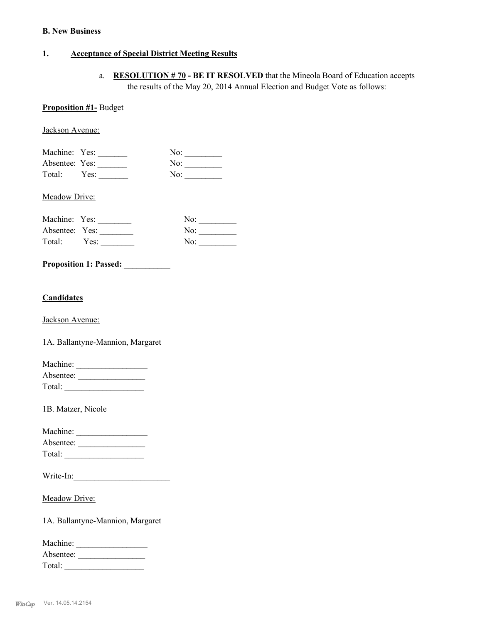#### **B. New Business**

# **1. Acceptance of Special District Meeting Results**

a. **RESOLUTION # 70 - BE IT RESOLVED** that the Mineola Board of Education accepts the results of the May 20, 2014 Annual Election and Budget Vote as follows:

#### **Proposition #1-** Budget

Jackson Avenue:

| Machine: Yes:  |      | No: |
|----------------|------|-----|
| Absentee: Yes: |      | No: |
| Total:         | Yes: | No: |

Meadow Drive:

| Machine: Yes:  |      | No: |
|----------------|------|-----|
| Absentee: Yes: |      | No: |
| Total:         | Yes: | No: |

### **Proposition 1: Passed:** *Proposition 1: Passed:*

# **Candidates**

Jackson Avenue:

1A. Ballantyne-Mannion, Margaret

| Machine:  |  |
|-----------|--|
| Absentee: |  |
| Total:    |  |

1B. Matzer, Nicole

| Machine:  |  |
|-----------|--|
| Absentee: |  |
| Total:    |  |

| Write-In: |  |  |  |
|-----------|--|--|--|
|           |  |  |  |

Meadow Drive:

1A. Ballantyne-Mannion, Margaret

| Machine:  |  |
|-----------|--|
| Absentee: |  |
| Total:    |  |